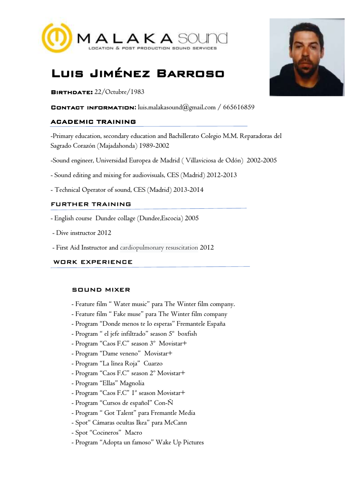

# Luis Jiménez Barroso

BIRTHDATE: 22/Octubre/1983

Contact information**:** luis.malakasound@gmail.com / 665616859

# ACADEMIC TRAINING

-Primary education, secondary education and Bachillerato Colegio M.M. Reparadoras del Sagrado Corazón (Majadahonda) 1989-2002

-Sound engineer, Universidad Europea de Madrid ( Villaviciosa de Odón) 2002-2005

- Sound editing and mixing for audiovisuals, CES (Madrid) 2012-2013

- Technical Operator of sound, CES (Madrid) 2013-2014

# FURTHER TRAINING

- English course Dundee collage (Dundee,Escocia) 2005
- Dive instructor 2012
- First Aid Instructor and cardiopulmonary resuscitation 2012

# WORK EXPERIENCE

## SOUND MIXER

- Feature film " Water music" para The Winter film company.
- Feature film " Fake muse" para The Winter film company
- Program "Donde menos te lo esperas" Fremantele España
- Program " el jefe infiltrado" season 5º boxfish
- Program "Caos F.C" season 3º Movistar+
- Program "Dame veneno" Movistar+
- Program "La línea Roja" Cuarzo
- Program "Caos F.C" season 2º Movistar+
- Program "Ellas" Magnolia
- Program "Caos F.C" 1º season Movistar+
- Program "Cursos de español" Con-Ñ
- Program " Got Talent" para Fremantle Media
- Spot" Cámaras ocultas Ikea" para McCann
- Spot "Cocineros" Macro
- Program "Adopta un famoso" Wake Up Pictures

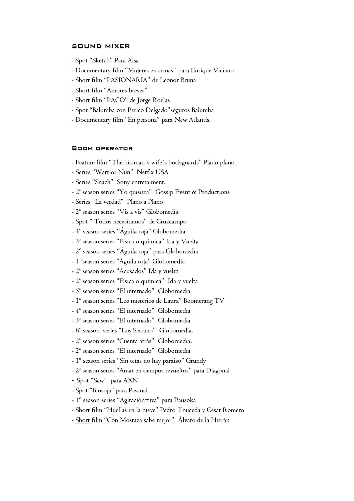## SOUND MIXER

- Spot "Sketch" Para Alsa
- Documentary film "Mujeres en armas" para Enrique Viciano
- Short film "PASIONARIA" de Leonor Bruna
- Short film "Amores breves"
- Short film "PACO" de Jorge Roelas
- Spot "Balumba con Perico Delgado"seguros Balumba
- Documentary film "En persona" para New Atlantis.

### Boom operator

- Feature film "The hitsman´s wife´s bodyguards" Plano plano.
- Series "Warrior Nun" Netfix USA
- Series "Snach" Sony entretaiment.
- 2ª season series "Yo quisiera" Gossip Event & Productions
- Series "La verdad" Plano a Plano
- 2ª season series "Vis a vis" Globomedia
- Spot " Todos necesitamos" de Cruzcampo
- 4º season series "Águila roja" Globomedia
- 3ª season series "Física o química" Ida y Vuelta
- 2º season series "Águila roja" para Globomedia
- 1 ªseason series "Águila roja" Globomedia
- 2ª season series "Acusados" Ida y vuelta
- 2ª season series "Física o química" Ida y vuelta
- 5ª season series "El internado" Globomedia
- 1ª season series "Los misterios de Laura" Boomerang TV
- 4ª season series "El internado" Globomedia
- 3ª season series "El internado" Globomedia
- 8º season series "Los Serrano" Globomedia.
- 2ª season series "Cuenta atrás" Globomedia.
- 2ª season series "El internado" Globomedia
- 1º season series "Sin tetas no hay paraíso" Grundy
- 2ª season series "Amar en tiempos revueltos" para Diagonal
- Spot "Saw" para AXN
- Spot "Biosoja" para Pascual
- 1º season series "Agitación+iva" para Pausoka
- Short film "Huellas en la nieve" Pedro Touceda y Cesar Romero
- Short film "Con Mostaza sabe mejor" Álvaro de la Herrán